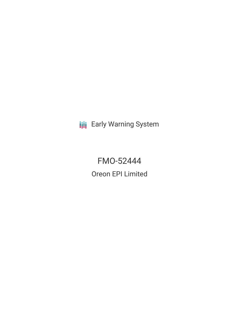**III** Early Warning System

FMO-52444 Oreon EPI Limited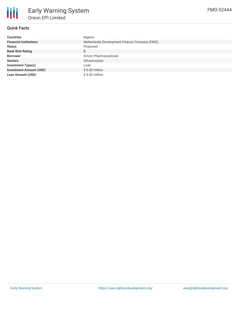

# **Quick Facts**

| <b>Countries</b>               | Nigeria                                       |
|--------------------------------|-----------------------------------------------|
| <b>Financial Institutions</b>  | Netherlands Development Finance Company (FMO) |
| <b>Status</b>                  | Proposed                                      |
| <b>Bank Risk Rating</b>        | B                                             |
| <b>Borrower</b>                | <b>Emzor Pharmaceuticals</b>                  |
| <b>Sectors</b>                 | Infrastructure                                |
| <b>Investment Type(s)</b>      | Loan                                          |
| <b>Investment Amount (USD)</b> | $$8.00$ million                               |
| <b>Loan Amount (USD)</b>       | $$8.00$ million                               |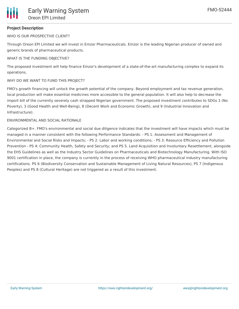## **Project Description**

WHO IS OUR PROSPECTIVE CLIENT?

Through Oreon EPI Limited we will invest in Emzor Pharmaceuticals. Emzor is the leading Nigerian producer of owned and generic brands of pharmaceutical products.

#### WHAT IS THE FUNDING OBJECTIVE?

The proposed investment will help finance Emzor's development of a state-of-the-art manufacturing complex to expand its operations.

#### WHY DO WE WANT TO FUND THIS PROJECT?

FMO's growth financing will unlock the growth potential of the company. Beyond employment and tax revenue generation, local production will make essential medicines more accessible to the general population. It will also help to decrease the import bill of the currently severely cash strapped Nigerian government. The proposed investment contributes to SDGs 1 (No Poverty), 3 (Good Health and Well-Being), 8 (Decent Work and Economic Growth), and 9 (Industrial Innovation and Infrastructure).

#### ENVIRONMENTAL AND SOCIAL RATIONALE

Categorized B+. FMO's environmental and social due diligence indicates that the investment will have impacts which must be managed in a manner consistent with the following Performance Standards: - PS 1: Assessment and Management of Environmental and Social Risks and Impacts; - PS 2: Labor and working conditions; - PS 3: Resource Efficiency and Pollution Prevention - PS 4: Community Health, Safety and Security; and PS 5. Land Acquisition and Involuntary Resettlement, alongside the EHS Guidelines as well as the Industry Sector Guidelines on Pharmaceuticals and Biotechnology Manufacturing. With ISO 9001 certification in place, the company is currently in the process of receiving WHO pharmaceutical industry manufacturing certifications. PS 6 (Biodiversity Conservation and Sustainable Management of Living Natural Resources), PS 7 (Indigenous Peoples) and PS 8 (Cultural Heritage) are not triggered as a result of this investment.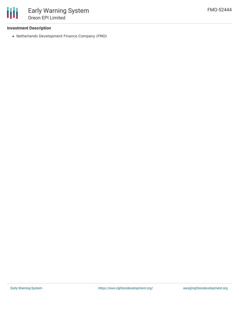

## **Investment Description**

Netherlands Development Finance Company (FMO)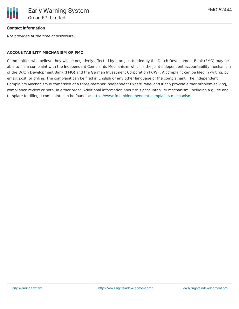

### **Contact Information**

Not provided at the time of disclosure.

#### **ACCOUNTABILITY MECHANISM OF FMO**

Communities who believe they will be negatively affected by a project funded by the Dutch Development Bank (FMO) may be able to file a complaint with the Independent Complaints Mechanism, which is the joint independent accountability mechanism of the Dutch Development Bank (FMO) and the German Investment Corporation (KfW) . A complaint can be filed in writing, by email, post, or online. The complaint can be filed in English or any other language of the complainant. The Independent Complaints Mechanism is comprised of a three-member Independent Expert Panel and it can provide either problem-solving, compliance review or both, in either order. Additional information about this accountability mechanism, including a guide and template for filing a complaint, can be found at: <https://www.fmo.nl/independent-complaints-mechanism>.